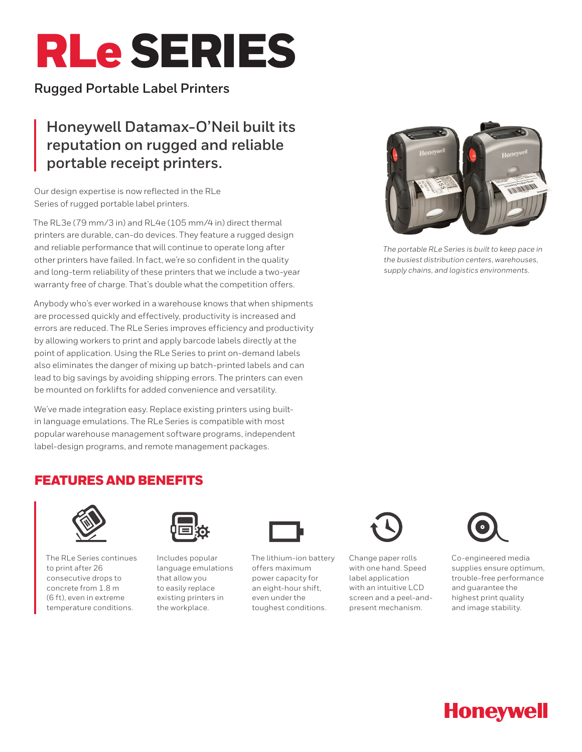# RLeSERIES

# **Rugged Portable Label Printers**

# **Honeywell Datamax-O'Neil built its reputation on rugged and reliable portable receipt printers.**

Our design expertise is now reflected in the RLe Series of rugged portable label printers.

The RL3e (79 mm/3 in) and RL4e (105 mm/4 in) direct thermal printers are durable, can-do devices. They feature a rugged design and reliable performance that will continue to operate long after other printers have failed. In fact, we're so confident in the quality and long-term reliability of these printers that we include a two-year warranty free of charge. That's double what the competition offers.

Anybody who's ever worked in a warehouse knows that when shipments are processed quickly and effectively, productivity is increased and errors are reduced. The RLe Series improves efficiency and productivity by allowing workers to print and apply barcode labels directly at the point of application. Using the RLe Series to print on-demand labels also eliminates the danger of mixing up batch-printed labels and can lead to big savings by avoiding shipping errors. The printers can even be mounted on forklifts for added convenience and versatility.

We've made integration easy. Replace existing printers using builtin language emulations. The RLe Series is compatible with most popular warehouse management software programs, independent label-design programs, and remote management packages.



*The portable RLe Series is built to keep pace in the busiest distribution centers, warehouses, supply chains, and logistics environments.*

# FEATURES AND BENEFITS



The RLe Series continues to print after 26 consecutive drops to concrete from 1.8 m (6 ft), even in extreme temperature conditions.



Includes popular language emulations that allow you to easily replace existing printers in the workplace.



The lithium-ion battery offers maximum power capacity for an eight-hour shift, even under the toughest conditions.



Change paper rolls with one hand. Speed label application with an intuitive LCD screen and a peel-andpresent mechanism.



Co-engineered media supplies ensure optimum, trouble-free performance and guarantee the highest print quality and image stability.

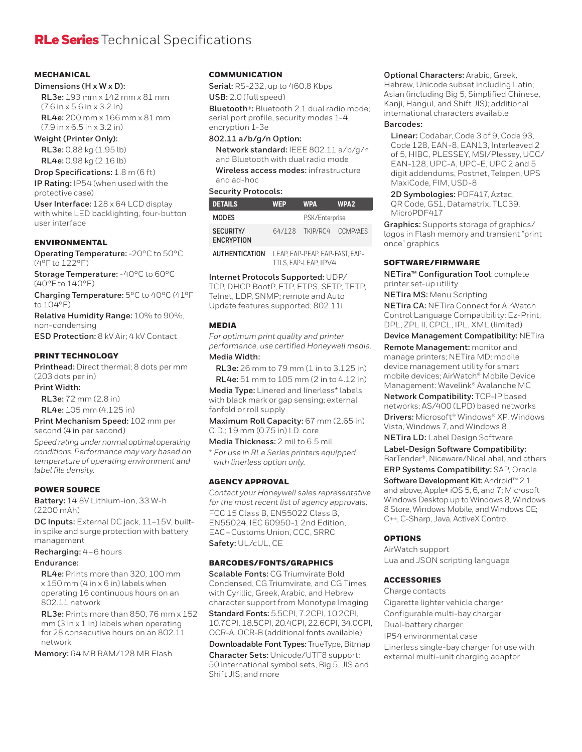# **MECHANICAL**

#### **Dimensions (H x W x D):**

**RL3e:** 193 mm x 142 mm x 81 mm (7.6 in x 5.6 in x 3.2 in) **RL4e:** 200 mm x 166 mm x 81 mm (7.9 in x 6.5 in x 3.2 in)

### **Weight (Printer Only):**

**RL3e:** 0.88 kg (1.95 lb) **RL4e:** 0.98 kg (2.16 lb)

**Drop Specifications:** 1.8 m (6 ft)

**IP Rating:** IP54 (when used with the protective case)

**User Interface:** 128 x 64 LCD display with white LED backlighting, four-button user interface

# ENVIRONMENTAL

**Operating Temperature:** -20°C to 50°C (4°F to 122°F)

**Storage Temperature:** -40°C to 60°C (40°F to 140°F)

**Charging Temperature:** 5°C to 40°C (41°F to 104°F)

**Relative Humidity Range:** 10% to 90%, non-condensing

**ESD Protection:** 8 kV Air; 4 kV Contact

# PRINT TECHNOLOGY

**Printhead:** Direct thermal; 8 dots per mm (203 dots per in)

**Print Width:**

**RL3e:** 72 mm (2.8 in)

**RL4e:** 105 mm (4.125 in)

**Print Mechanism Speed:** 102 mm per second (4 in per second)

*Speed rating under normal optimal operating conditions. Performance may vary based on temperature of operating environment and label file density.*

#### POWER SOURCE

**Battery:** 14.8V Lithium-ion, 33 W-h (2200 mAh)

**DC Inputs:** External DC jack, 11–15V, builtin spike and surge protection with battery management

**Recharging:** 4 – 6 hours

#### **Endurance:**

**RL4e:** Prints more than 320, 100 mm x 150 mm (4 in x 6 in) labels when operating 16 continuous hours on an 802.11 network

**RL3e:** Prints more than 850, 76 mm x 152 mm (3 in x 1 in) labels when operating for 28 consecutive hours on an 802.11 network

**Memory:** 64 MB RAM/128 MB Flash

# **COMMUNICATION**

**Serial:** RS-232, up to 460.8 Kbps

**USB:** 2.0 (full speed)

**Bluetooth®:** Bluetooth 2.1 dual radio mode; serial port profile, security modes 1-4, encryption 1-3e

# **802.11 a/b/g/n Option:**

**Network standard:** IEEE 802.11 a/b/g/n and Bluetooth with dual radio mode **Wireless access modes:** infrastructure and ad-hoc

#### **Security Protocols:**

| <b>DETAILS</b>                        | <b>WEP</b> | <b>WPA</b>               | <b>WPA2</b> |
|---------------------------------------|------------|--------------------------|-------------|
| <b>MODES</b>                          |            | PSK/Enterprise           |             |
| <b>SECURITY/</b><br><b>ENCRYPTION</b> |            | 64/128 TKIP/RC4 CCMP/AFS |             |
|                                       |            |                          |             |

| <b>AUTHENTICATION</b> | LEAP. EAP-PEAP. EAP-FAST. EAP- |
|-----------------------|--------------------------------|
|                       | TTLS. EAP-LEAP. IPV4           |

**Internet Protocols Supported:** UDP/

TCP, DHCP BootP, FTP, FTPS, SFTP, TFTP, Telnet, LDP, SNMP; remote and Auto Update features supported; 802.11i

#### MEDIA

*For optimum print quality and printer performance, use certified Honeywell media.* **Media Width:**

**RL3e:** 26 mm to 79 mm (1 in to 3.125 in) **RL4e:** 51 mm to 105 mm (2 in to 4.12 in)

**Media Type:** Linered and linerless\* labels with black mark or gap sensing; external fanfold or roll supply

**Maximum Roll Capacity:** 67 mm (2.65 in) O.D.; 19 mm (0.75 in) I.D. core

**Media Thickness:** 2 mil to 6.5 mil

*\* For use in RLe Series printers equipped with linerless option only.* 

#### AGENCY APPROVAL

*Contact your Honeywell sales representative for the most recent list of agency approvals.*  FCC 15 Class B, EN55022 Class B, EN55024, IEC 60950-1 2nd Edition, EAC – Customs Union, CCC, SRRC **Safety:** UL/cUL, CE

#### BARCODES/FONTS/GRAPHICS

**Scalable Fonts:** CG Triumvirate Bold Condensed, CG Triumvirate, and CG Times with Cyrillic, Greek, Arabic, and Hebrew character support from Monotype Imaging

**Standard Fonts:** 5.5CPI, 7.2CPI, 10.2CPI, 10.7CPI, 18.5CPI, 20.4CPI, 22.6CPI, 34.0CPI, OCR-A, OCR-B (additional fonts available) **Downloadable Font Types:** TrueType, Bitmap **Character Sets:** Unicode/UTF8 support: 50 international symbol sets, Big 5, JIS and Shift JIS, and more

**Optional Characters:** Arabic, Greek, Hebrew, Unicode subset including Latin; Asian (including Big 5, Simplified Chinese, Kanji, Hangul, and Shift JIS); additional

#### international characters available **Barcodes:**

**Linear:** Codabar, Code 3 of 9, Code 93, Code 128, EAN-8, EAN13, Interleaved 2 of 5, HIBC, PLESSEY, MSI/Plessey, UCC/ EAN-128, UPC-A, UPC-E, UPC 2 and 5 digit addendums, Postnet, Telepen, UPS MaxiCode, FIM, USD-8

**2D Symbologies:** PDF417, Aztec, QR Code, GS1, Datamatrix, TLC39, MicroPDF417

**Graphics:** Supports storage of graphics/ logos in Flash memory and transient "print once" graphics

#### SOFTWARE/FIRMWARE

**NETira™ Configuration Tool**: complete printer set-up utility

**NETira MS:** Menu Scripting

**NETira CA:** NETira Connect for AirWatch Control Language Compatibility: Ez-Print, DPL, ZPL II, CPCL, IPL, XML (limited)

**Device Management Compatibility:** NETira

**Remote Management:** monitor and manage printers; NETira MD: mobile device management utility for smart mobile devices; AirWatch® Mobile Device Management: Wavelink® Avalanche MC

**Network Compatibility:** TCP-IP based networks; AS/400 (LPD) based networks

**Drivers:** Microsoft® Windows® XP, Windows Vista, Windows 7, and Windows 8

**NETira LD:** Label Design Software

**Label-Design Software Compatibility:** BarTender®, Niceware/NiceLabel, and others

**ERP Systems Compatibility:** SAP, Oracle **Software Development Kit:** Android™ 2.1 and above, Apple**®** iOS 5, 6, and 7; Microsoft Windows Desktop up to Windows 8, Windows 8 Store, Windows Mobile, and Windows CE; C++, C-Sharp, Java, ActiveX Control

# OPTIONS

AirWatch support Lua and JSON scripting language

# **ACCESSORIES**

Charge contacts Cigarette lighter vehicle charger Configurable multi-bay charger Dual-battery charger IP54 environmental case Linerless single-bay charger for use with external multi-unit charging adaptor